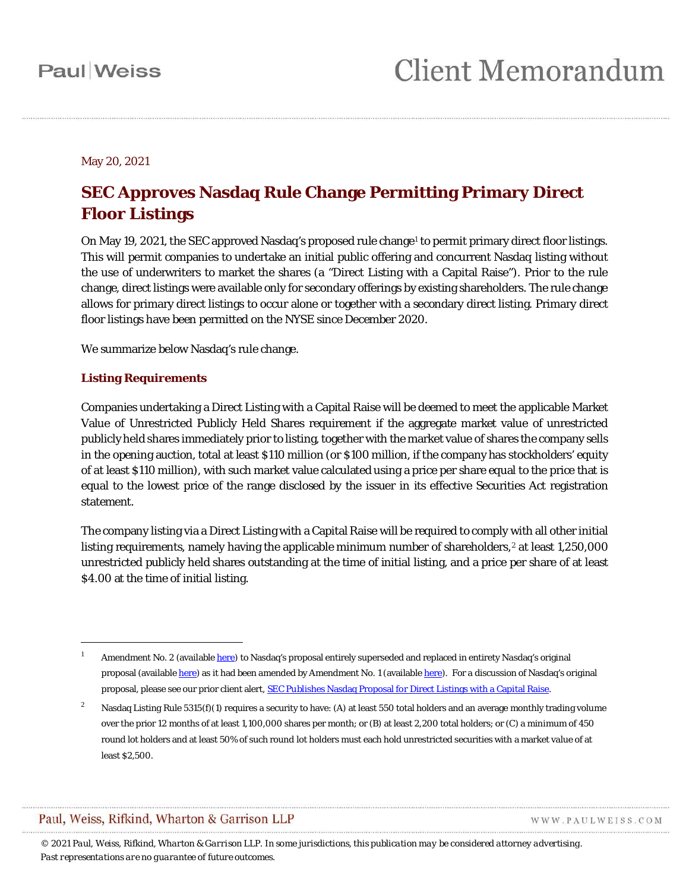May 20, 2021

## **SEC Approves Nasdaq Rule Change Permitting Primary Direct Floor Listings**

On May 19, 2021, the SEC approved Nasdaq's proposed rule change<sup>1</sup> to permit primary direct floor listings. This will permit companies to undertake an initial public offering and concurrent Nasdaq listing without the use of underwriters to market the shares (a "Direct Listing with a Capital Raise"). Prior to the rule change, direct listings were available only for secondary offerings by existing shareholders. The rule change allows for primary direct listings to occur alone or together with a secondary direct listing. Primary direct floor listings have been permitted on the NYSE since December 2020.

We summarize below Nasdaq's rule change.

### **Listing Requirements**

 $\overline{a}$ 

Companies undertaking a Direct Listing with a Capital Raise will be deemed to meet the applicable Market Value of Unrestricted Publicly Held Shares requirement if the aggregate market value of unrestricted publicly held shares immediately prior to listing, together with the market value of shares the company sells in the opening auction, total at least \$110 million (or \$100 million, if the company has stockholders' equity of at least \$110 million), with such market value calculated using a price per share equal to the price that is equal to the lowest price of the range disclosed by the issuer in its effective Securities Act registration statement.

The company listing via a Direct Listing with a Capital Raise will be required to comply with all other initial listing requirements, namely having the applicable minimum number of shareholders,<sup>[2](#page-0-1)</sup> at least 1,250,000 unrestricted publicly held shares outstanding at the time of initial listing, and a price per share of at least \$4.00 at the time of initial listing.

### Paul, Weiss, Rifkind, Wharton & Garrison LLP

WWW.PAULWEISS.COM

<span id="page-0-0"></span>Amendment No. 2 (available [here\)](https://listingcenter.nasdaq.com/assets/rulebook/nasdaq/filings/SR-NASDAQ-2020-057_Amendment_2.pdf) to Nasdaq's proposal entirely superseded and replaced in entirety Nasdaq's original proposal (available [here\)](https://listingcenter.nasdaq.com/assets/rulebook/nasdaq/filings/SR-NASDAQ-2020-057_Amendment_1.pdf) as it had been amended by Amendment No. 1 (available here). For a discussion of Nasdaq's original proposal, please see our prior client alert[, SEC Publishes Nasdaq Proposal for Direct Listings with a Capital Raise.](https://www.paulweiss.com/practices/transactional/capital-markets/publications/sec-publishes-nasdaq-s-proposal-for-direct-listings-with-a-capital-raise?id=37978)

<span id="page-0-1"></span><sup>&</sup>lt;sup>2</sup> Nasdaq Listing Rule 5315(f)(1) requires a security to have: (A) at least 550 total holders and an average monthly trading volume over the prior 12 months of at least 1,100,000 shares per month; or (B) at least 2,200 total holders; or (C) a minimum of 450 round lot holders and at least 50% of such round lot holders must each hold unrestricted securities with a market value of at least \$2,500.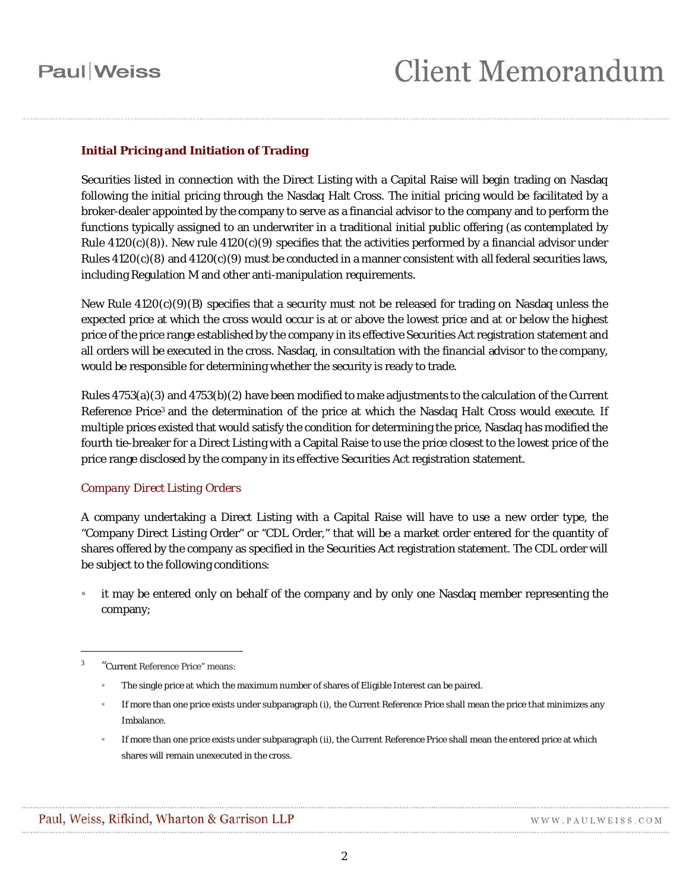# **Paul** Weiss

### **Initial Pricing and Initiation of Trading**

Securities listed in connection with the Direct Listing with a Capital Raise will begin trading on Nasdaq following the initial pricing through the Nasdaq Halt Cross. The initial pricing would be facilitated by a broker-dealer appointed by the company to serve as a financial advisor to the company and to perform the functions typically assigned to an underwriter in a traditional initial public offering (as contemplated by Rule  $4120(c)(8)$ ). New rule  $4120(c)(9)$  specifies that the activities performed by a financial advisor under Rules  $4120(c)(8)$  and  $4120(c)(9)$  must be conducted in a manner consistent with all federal securities laws, including Regulation M and other anti-manipulation requirements.

New Rule 4120(c)(9)(B) specifies that a security must not be released for trading on Nasdaq unless the expected price at which the cross would occur is at or above the lowest price and at or below the highest price of the price range established by the company in its effective Securities Act registration statement and all orders will be executed in the cross. Nasdaq, in consultation with the financial advisor to the company, would be responsible for determining whether the security is ready to trade.

Rules 4753(a)(3) and 4753(b)(2) have been modified to make adjustments to the calculation of the Current Reference Price<sup>[3](#page-1-0)</sup> and the determination of the price at which the Nasdaq Halt Cross would execute. If multiple prices existed that would satisfy the condition for determining the price, Nasdaq has modified the fourth tie-breaker for a Direct Listing with a Capital Raise to use the price closest to the lowest price of the price range disclosed by the company in its effective Securities Act registration statement.

### *Company Direct Listing Orders*

A company undertaking a Direct Listing with a Capital Raise will have to use a new order type, the "Company Direct Listing Order" or "CDL Order," that will be a market order entered for the quantity of shares offered by the company as specified in the Securities Act registration statement. The CDL order will be subject to the following conditions:

 it may be entered only on behalf of the company and by only one Nasdaq member representing the company;

 $\overline{a}$ 

<span id="page-1-0"></span><sup>3</sup> "Current Reference Price" means:

The single price at which the maximum number of shares of Eligible Interest can be paired.

If more than one price exists under subparagraph (i), the Current Reference Price shall mean the price that minimizes any Imbalance.

If more than one price exists under subparagraph (ii), the Current Reference Price shall mean the entered price at which shares will remain unexecuted in the cross.